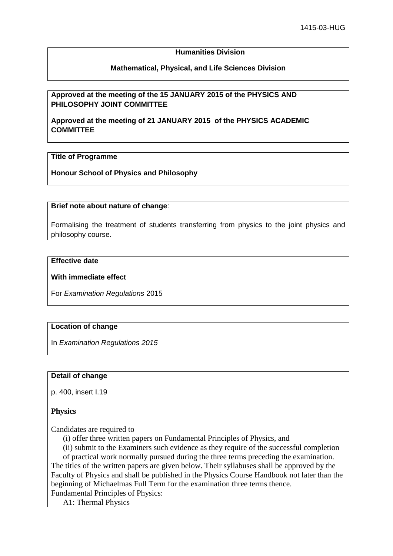## **Humanities Division**

## **Mathematical, Physical, and Life Sciences Division**

## **Approved at the meeting of the 15 JANUARY 2015 of the PHYSICS AND PHILOSOPHY JOINT COMMITTEE**

**Approved at the meeting of 21 JANUARY 2015 of the PHYSICS ACADEMIC COMMITTEE** 

## **Title of Programme**

**Honour School of Physics and Philosophy**

#### **Brief note about nature of change**:

Formalising the treatment of students transferring from physics to the joint physics and philosophy course.

## **Effective date**

#### **With immediate effect**

For *Examination Regulations* 2015

#### **Location of change**

In *Examination Regulations 2015*

#### **Detail of change**

p. 400, insert I.19

#### **Physics**

Candidates are required to

(i) offer three written papers on Fundamental Principles of Physics, and

(ii) submit to the Examiners such evidence as they require of the successful completion of practical work normally pursued during the three terms preceding the examination. The titles of the written papers are given below. Their syllabuses shall be approved by the Faculty of Physics and shall be published in the Physics Course Handbook not later than the beginning of Michaelmas Full Term for the examination three terms thence. Fundamental Principles of Physics:

A1: Thermal Physics